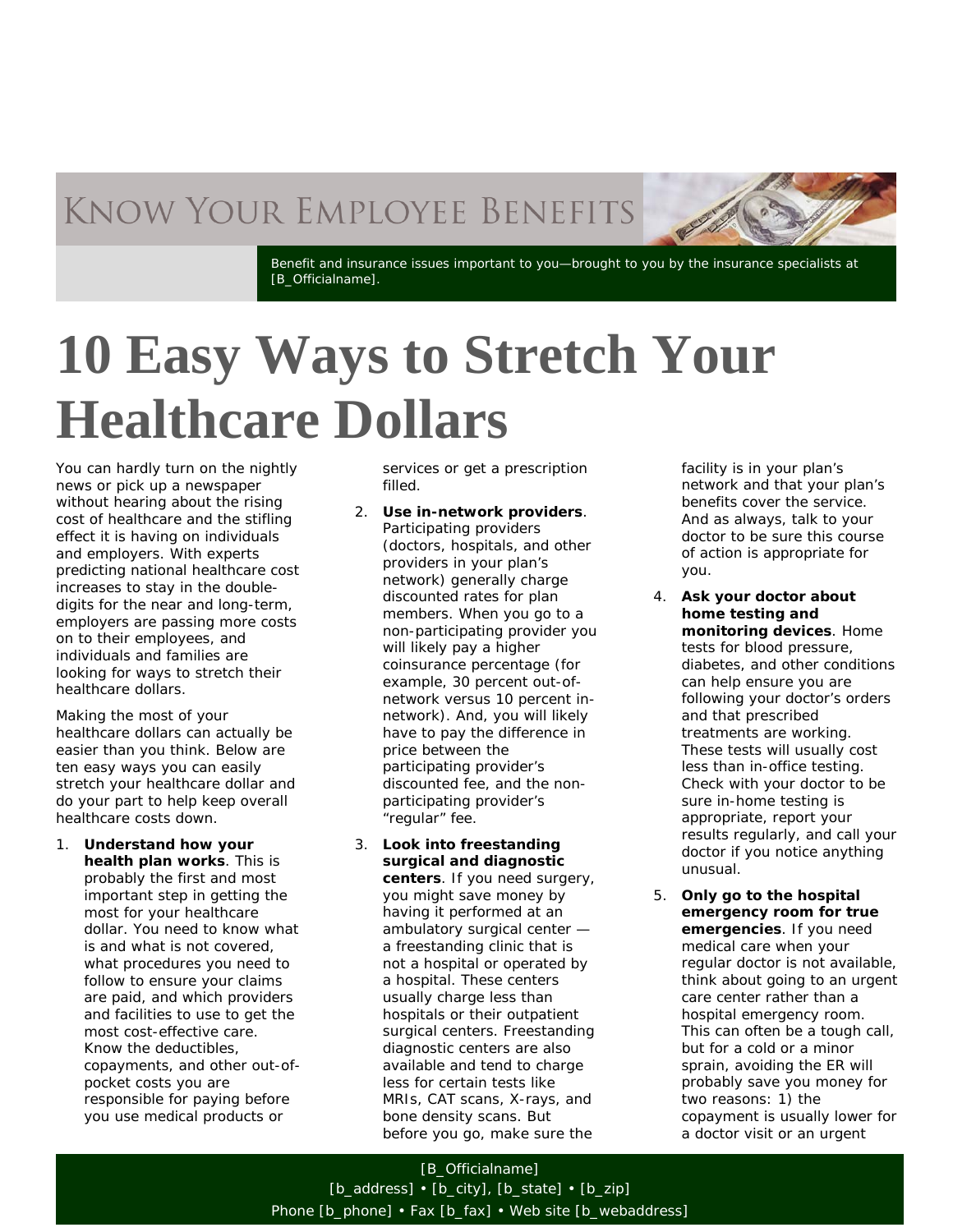## **KNOW YOUR EMPLOYEE BENEFITS**

Benefit and insurance issues important to you—brought to you by the insurance specialists at [B\_Officialname].

## **10 Easy Ways to Stretch Your Healthcare Dollars**

You can hardly turn on the nightly news or pick up a newspaper without hearing about the rising cost of healthcare and the stifling effect it is having on individuals and employers. With experts predicting national healthcare cost increases to stay in the doubledigits for the near and long-term, employers are passing more costs on to their employees, and individuals and families are looking for ways to stretch their healthcare dollars.

Making the most of your healthcare dollars can actually be easier than you think. Below are ten easy ways you can easily stretch your healthcare dollar and do your part to help keep overall healthcare costs down.

*1. Understand how your health plan works.* This is probably the first and most important step in getting the most for your healthcare dollar. You need to know what is and what is not covered, what procedures you need to follow to ensure your claims are paid, and which providers and facilities to use to get the most cost-effective care. Know the deductibles, copayments, and other out-ofpocket costs you are responsible for paying before you use medical products or

services or get a prescription filled.

- *2. Use in-network providers.*  Participating providers (doctors, hospitals, and other providers in your plan's network) generally charge discounted rates for plan members. When you go to a non-participating provider you will likely pay a higher coinsurance percentage (for example, 30 percent out-ofnetwork versus 10 percent innetwork). And, you will likely have to pay the difference in price between the participating provider's discounted fee, and the nonparticipating provider's "regular" fee.
- *3. Look into freestanding surgical and diagnostic centers.* If you need surgery, you might save money by having it performed at an ambulatory surgical center a freestanding clinic that is not a hospital or operated by a hospital. These centers usually charge less than hospitals or their outpatient surgical centers. Freestanding diagnostic centers are also available and tend to charge less for certain tests like MRIs, CAT scans, X-rays, and bone density scans. But before you go, make sure the

facility is in your plan's network and that your plan's benefits cover the service. And as always, talk to your doctor to be sure this course of action is appropriate for you.

- *4. Ask your doctor about home testing and monitoring devices.* Home tests for blood pressure, diabetes, and other conditions can help ensure you are following your doctor's orders and that prescribed treatments are working. These tests will usually cost less than in-office testing. Check with your doctor to be sure in-home testing is appropriate, report your results regularly, and call your doctor if you notice anything unusual.
- *5. Only go to the hospital emergency room for true emergencies.* If you need medical care when your regular doctor is not available, think about going to an urgent care center rather than a hospital emergency room. This can often be a tough call, but for a cold or a minor sprain, avoiding the ER will probably save you money for two reasons: 1) the copayment is usually lower for a doctor visit or an urgent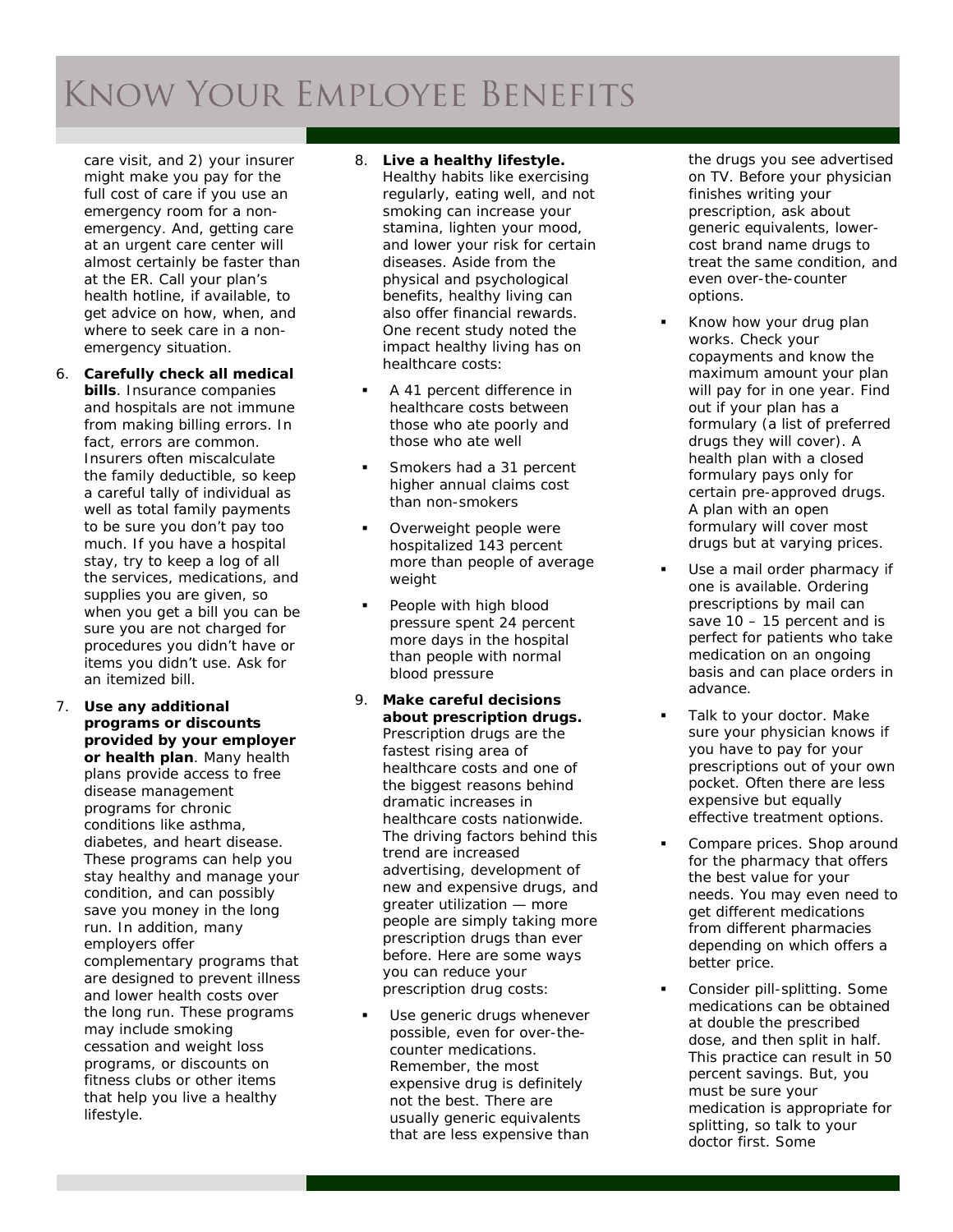## **KNOW YOUR EMPLOYEE BENEFITS**

care visit, and 2) your insurer might make you pay for the full cost of care if you use an emergency room for a non emergency. And, getting care at an urgent care center will almost certainly be faster than at the ER. Call your plan's health hotline, if available, to get advice on how, when, and where to seek care in a non emergency situation.

- *6. Carefully check all medical bills.* Insurance companies and hospitals are not immune from making billing errors. In fact, errors are common. Insurers often miscalculate the family deductible, so keep a careful tally of individual as well as total family payments to be sure you don't pay too much. If you have a hospital stay, try to keep a log of all the services, medications, and supplies you are given, so when you get a bill you can be sure you are not charged for procedures you didn't have or items you didn't use. Ask for an itemized bill.
- *7. Use any additional programs or discounts provided by your employer or health plan.* Many health plans provide access to free disease management programs for chronic conditions like asthma, diabetes, and heart disease. These programs can help you stay healthy and manage your condition, and can possibly save you money in the long run. In addition, many employers offer complementary programs that are designed to prevent illness and lower health costs over the long run. These programs may include smoking cessation and weight loss programs, or discounts on fitness clubs or other items that help you live a healthy lifestyle.
- *8. Live a healthy lifestyle.* Healthy habits like exercising regularly, eating well, and not smoking can increase your stamina, lighten your mood, and lower your risk for certain diseases. Aside from the physical and psychological benefits, healthy living can also offer financial rewards. One recent study noted the impact healthy living has on healthcare costs:
- A 41 percent difference in healthcare costs between those who ate poorly and those who ate well
- **Smokers had a 31 percent** higher annual claims cost than non -smokers
- Overweight people were hospitalized 143 percent more than people of average weight
- People with high blood pressure spent 24 percent more days in the hospital than people with normal blood pressure
- 9. *Make careful decisions about prescription drugs.* Prescription drugs are the fastest rising area of healthcare costs and one of the biggest reasons behind dramatic increases in healthcare costs nationwide. The driving factors behind this trend are increased advertising, development of new and expensive drugs, and greater utilization — more people are simply taking more prescription drugs than ever before. Here are some ways you can reduce your prescription drug costs:
- *Use generic drugs whenever possible, even for over -the counter medications*. Remember, the most expensive drug is definitely not the best. There are usually generic equivalents that are less expensive than

the drugs you see advertised on TV. Before your physician finishes writing your prescription, ask about generic equivalents, lower cost brand name drugs to treat the same condition, and even over -the -counter options.

- *Know how your drug plan works*. Check your copayments and know the maximum amount your plan will pay for in one year. Find out if your plan has a formulary (a list of preferred drugs they will cover). A health plan with a closed formulary pays only for certain pre -approved drugs. A plan with an open formulary will cover most drugs but at varying prices.
- *Use a mail order pharmacy if one is available*. Ordering prescriptions by mail can save 10 – 15 percent and is perfect for patients who take medication on an ongoing basis and can place orders in advance.
- *Talk to your doctor.* Make sure your physician knows if you have to pay for your prescriptions out of your own pocket. Often there are less expensive but equally effective treatment options.
- *Compare prices*. Shop around for the pharmacy that offers the best value for your needs. You may even need to get different medications from different pharmacies depending on which offers a better price.
- *Consider pill-splitting.* Some medications can be obtained at double the prescribed dose, and then split in half. This practice can result in 50 percent savings. But, you must be sure your medication is appropriate for splitting, so talk to your doctor first. Some